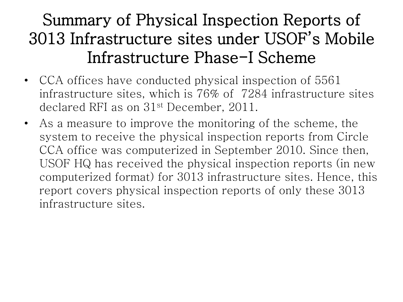#### Summary of Physical Inspection Reports of 3013 Infrastructure sites under USOF's Mobile Infrastructure Phase-I Scheme

- CCA offices have conducted physical inspection of 5561 infrastructure sites, which is 76% of 7284 infrastructure sites declared RFI as on 31st December, 2011.
- As a measure to improve the monitoring of the scheme, the system to receive the physical inspection reports from Circle CCA office was computerized in September 2010. Since then, USOF HQ has received the physical inspection reports (in new computerized format) for 3013 infrastructure sites. Hence, this report covers physical inspection reports of only these 3013 infrastructure sites.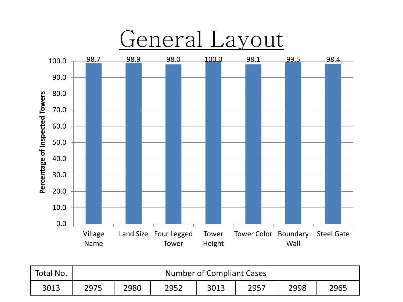

| Total No. | Number of Compliant Cases |      |      |      |      |      |      |
|-----------|---------------------------|------|------|------|------|------|------|
| 3013      | 2975                      | 2980 | 2952 | 3013 | 2957 | 2998 | 2965 |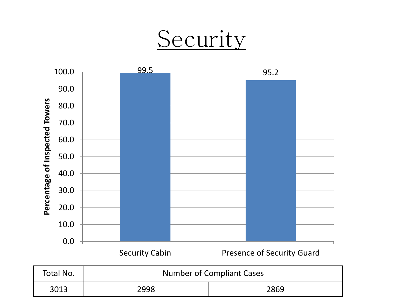# Security

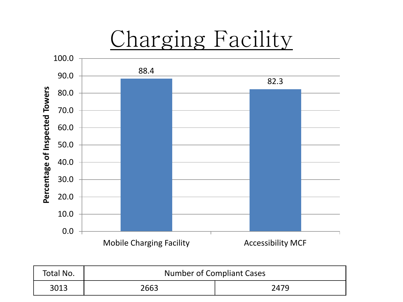

| Total No. | <b>Number of Compliant Cases</b> |      |  |  |
|-----------|----------------------------------|------|--|--|
| 3013      | 2663                             | 2479 |  |  |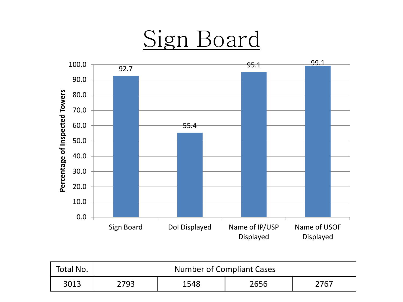#### Sign Board



| Total No. | <b>Number of Compliant Cases</b> |      |      |      |  |  |
|-----------|----------------------------------|------|------|------|--|--|
| 3013      | 2793.                            | 1548 | 2656 | 2767 |  |  |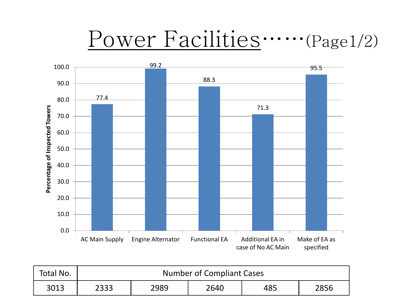# Power Facilities……(Page1/2)



| Total No. | Number of Compliant Cases |      |      |     |      |  |
|-----------|---------------------------|------|------|-----|------|--|
| 3013      | 2333                      | 2989 | 2640 | 485 | 2856 |  |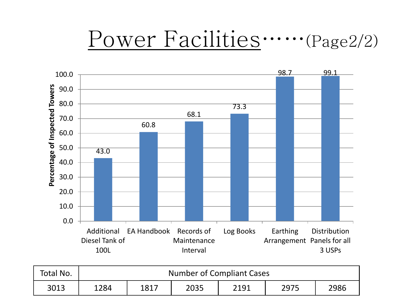### Power Facilities……(Page2/2)



| Total No. | Number of Compliant Cases |      |      |      |      |      |
|-----------|---------------------------|------|------|------|------|------|
| 3013      | 1284                      | 1817 | 2035 | 2191 | 2975 | 2986 |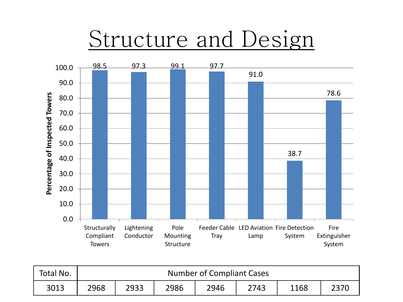# Structure and Design



| Total No. | <b>Number of Compliant Cases</b> |      |      |      |      |      |  |
|-----------|----------------------------------|------|------|------|------|------|--|
| 3013      | 2968                             | 2933 | 2986 | 2946 | 2743 | 1168 |  |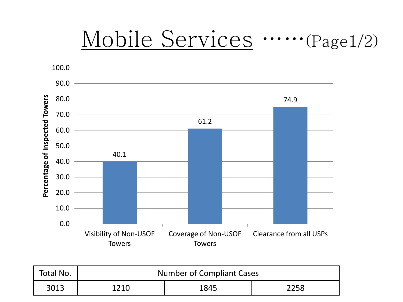### Mobile Services ……(Page1/2)



| Total No. | Number of Compliant Cases |      |      |  |
|-----------|---------------------------|------|------|--|
| 3013      | 1210                      | 1845 | 2258 |  |